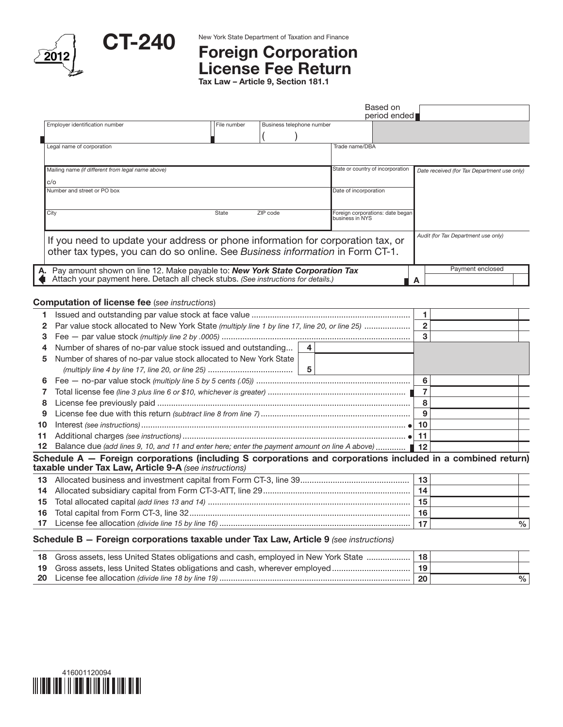



## CT-240 New York State Department of Taxation and Finance License Fee Return

Tax Law – Article 9, Section 181.1

|                                                                                                                                                                  |             |                           |                                   | Based on<br>period ended         |                                             |
|------------------------------------------------------------------------------------------------------------------------------------------------------------------|-------------|---------------------------|-----------------------------------|----------------------------------|---------------------------------------------|
| Employer identification number                                                                                                                                   | File number | Business telephone number |                                   |                                  |                                             |
|                                                                                                                                                                  |             |                           |                                   |                                  |                                             |
| Legal name of corporation                                                                                                                                        |             |                           | Trade name/DBA                    |                                  |                                             |
| Mailing name (if different from legal name above)                                                                                                                |             |                           | State or country of incorporation |                                  | Date received (for Tax Department use only) |
| C/O                                                                                                                                                              |             |                           |                                   |                                  |                                             |
| Number and street or PO box                                                                                                                                      |             |                           | Date of incorporation             |                                  |                                             |
|                                                                                                                                                                  |             |                           |                                   |                                  |                                             |
| City                                                                                                                                                             | State       | ZIP code                  | business in NYS                   | Foreign corporations: date began |                                             |
| If you need to update your address or phone information for corporation tax, or<br>other tax types, you can do so online. See Business information in Form CT-1. |             |                           |                                   |                                  | Audit (for Tax Department use only)         |
| Pay amount shown on line 12. Make payable to: New York State Corporation Tax                                                                                     |             |                           |                                   |                                  | Payment enclosed                            |
| Attach your payment here. Detach all check stubs. (See instructions for details.)                                                                                |             |                           |                                   |                                  |                                             |
|                                                                                                                                                                  |             |                           |                                   |                                  |                                             |

## Computation of license fee (*see instructions*)

|                 | Par value stock allocated to New York State (multiply line 1 by line 17, line 20, or line 25)                                                                        |  |  |  |    |    |  |  |
|-----------------|----------------------------------------------------------------------------------------------------------------------------------------------------------------------|--|--|--|----|----|--|--|
|                 |                                                                                                                                                                      |  |  |  | 3  |    |  |  |
| 4               | Number of shares of no-par value stock issued and outstanding<br>4                                                                                                   |  |  |  |    |    |  |  |
| 5               | Number of shares of no-par value stock allocated to New York State                                                                                                   |  |  |  |    |    |  |  |
|                 |                                                                                                                                                                      |  |  |  |    |    |  |  |
| 6               |                                                                                                                                                                      |  |  |  |    | 6  |  |  |
|                 |                                                                                                                                                                      |  |  |  |    |    |  |  |
| 8               |                                                                                                                                                                      |  |  |  |    | 8  |  |  |
| 9               |                                                                                                                                                                      |  |  |  | 9  |    |  |  |
| 10              |                                                                                                                                                                      |  |  |  | 10 |    |  |  |
| 11              |                                                                                                                                                                      |  |  |  | 11 |    |  |  |
| 12 <sup>°</sup> | Balance due (add lines 9, 10, and 11 and enter here; enter the payment amount on line A above)  ■ 12                                                                 |  |  |  |    |    |  |  |
|                 | Schedule A – Foreign corporations (including S corporations and corporations included in a combined return)<br>taxable under Tax Law, Article 9-A (see instructions) |  |  |  |    |    |  |  |
| 13              |                                                                                                                                                                      |  |  |  |    | 13 |  |  |
| 14              |                                                                                                                                                                      |  |  |  | 14 |    |  |  |
| 15              |                                                                                                                                                                      |  |  |  | 15 |    |  |  |

| $\mathsf{I} \mathsf{I} \mathsf{I} \mathsf{I} \mathsf{I} \mathsf{I}$<br>une |  |
|----------------------------------------------------------------------------|--|

## Schedule B — Foreign corporations taxable under Tax Law, Article 9 *(see instructions)*

| 18 Gross assets, less United States obligations and cash, employed in New York State |    |   |
|--------------------------------------------------------------------------------------|----|---|
| 19 Gross assets, less United States obligations and cash, wherever employed          |    |   |
|                                                                                      | 20 | % |